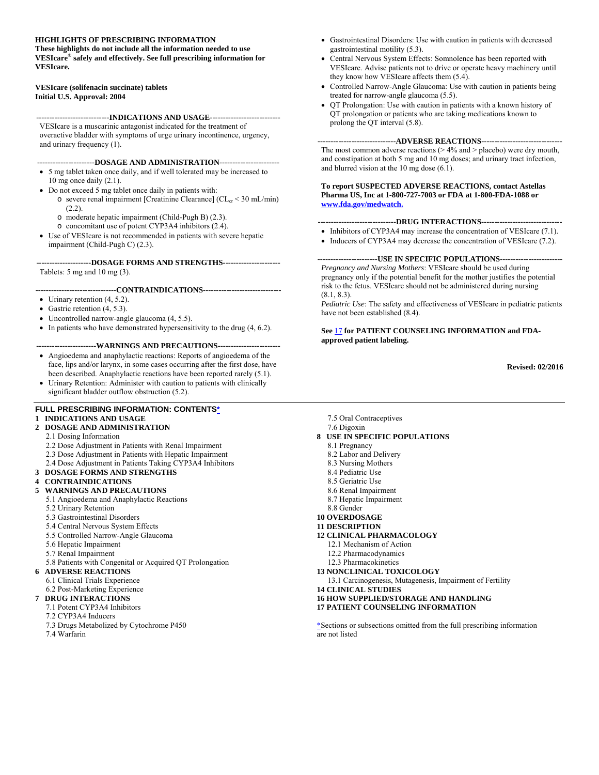#### **HIGHLIGHTS OF PRESCRIBING INFORMATION**

**These highlights do not include all the information needed to use VESIcare® safely and effectively. See full prescribing information for VESIcare.** 

#### **VESIcare (solifenacin succinate) tablets Initial U.S. Approval: 2004**

**----------------------------INDICATIONS AND USAGE---------------------------**

VESIcare is a muscarinic antagonist indicated for the treatment of overactive bladder with symptoms of urge urinary incontinence, urgency, and urinary frequency (1).

#### **----------------------DOSAGE AND ADMINISTRATION-----------------------**

- 5 mg tablet taken once daily, and if well tolerated may be increased to 10 mg once daily (2.1).
- Do not exceed 5 mg tablet once daily in patients with:
	- $\circ$  severe renal impairment [Creatinine Clearance] (CL<sub>cr</sub> < 30 mL/min) (2.2).
	- o moderate hepatic impairment (Child-Pugh B) (2.3).
	- o concomitant use of potent CYP3A4 inhibitors (2.4).
- Use of VESIcare is not recommended in patients with severe hepatic impairment (Child-Pugh C) (2.3).

**---------------------DOSAGE FORMS AND STRENGTHS----------------------** Tablets: 5 mg and 10 mg (3).

**-------------------------------CONTRAINDICATIONS------------------------------**

- Urinary retention  $(4, 5.2)$ .
- Gastric retention  $(4, 5.3)$ .
- Uncontrolled narrow-angle glaucoma (4, 5.5).
- $\bullet$  In patients who have demonstrated hypersensitivity to the drug  $(4, 6.2)$ .

#### **-----------------------WARNINGS AND PRECAUTIONS------------------------**

- Angioedema and anaphylactic reactions: Reports of angioedema of the face, lips and/or larynx, in some cases occurring after the first dose, have been described. Anaphylactic reactions have been reported rarely (5.1).
- Urinary Retention: Administer with caution to patients with clinically significant bladder outflow obstruction (5.2).

#### **FULL PRESCRIBING INFORMATION: CONTENTS\***

#### **1 INDICATIONS AND USAGE**

- **2 DOSAGE AND ADMINISTRATION**
	- 2.1 Dosing Information
	- 2.2 Dose Adjustment in Patients with Renal Impairment
	- 2.3 Dose Adjustment in Patients with Hepatic Impairment
	- 2.4 Dose Adjustment in Patients Taking CYP3A4 Inhibitors
- **3 DOSAGE FORMS AND STRENGTHS**

#### **4 CONTRAINDICATIONS**

- **5 WARNINGS AND PRECAUTIONS**
	- 5.1 Angioedema and Anaphylactic Reactions
	- 5.2 Urinary Retention
	- 5.3 Gastrointestinal Disorders
	- 5.4 Central Nervous System Effects
	- 5.5 Controlled Narrow-Angle Glaucoma
	- 5.6 Hepatic Impairment
	- 5.7 Renal Impairment
	- 5.8 Patients with Congenital or Acquired QT Prolongation

#### **6 ADVERSE REACTIONS**

- 6.1 Clinical Trials Experience
- 6.2 Post-Marketing Experience
- **7 DRUG INTERACTIONS**
	- 7.1 Potent CYP3A4 Inhibitors
	- 7.2 CYP3A4 Inducers
	- 7.3 Drugs Metabolized by Cytochrome P450
	- 7.4 Warfarin
- Gastrointestinal Disorders: Use with caution in patients with decreased gastrointestinal motility (5.3).
- Central Nervous System Effects: Somnolence has been reported with VESIcare. Advise patients not to drive or operate heavy machinery until they know how VESIcare affects them (5.4).
- Controlled Narrow-Angle Glaucoma: Use with caution in patients being treated for narrow-angle glaucoma (5.5).
- QT Prolongation: Use with caution in patients with a known history of QT prolongation or patients who are taking medications known to prolong the QT interval (5.8).

#### **------------------------------ADVERSE REACTIONS-------------------------------**

The most common adverse reactions  $(> 4\%$  and  $>$  placebo) were dry mouth, and constipation at both 5 mg and 10 mg doses; and urinary tract infection, and blurred vision at the 10 mg dose (6.1).

**To report SUSPECTED ADVERSE REACTIONS, contact Astellas Pharma US, Inc at 1-800-727-7003 or FDA at 1-800-FDA-1088 or www.fda.gov/medwatch.**

#### **------------------------------DRUG INTERACTIONS-------------------------------**

- Inhibitors of CYP3A4 may increase the concentration of VESIcare (7.1).
- Inducers of CYP3A4 may decrease the concentration of VESIcare (7.2).

**-----------------------USE IN SPECIFIC POPULATIONS------------------------** *Pregnancy and Nursing Mothers*: VESIcare should be used during pregnancy only if the potential benefit for the mother justifies the potential risk to the fetus. VESIcare should not be administered during nursing  $(8.1, 8.3)$ .

*Pediatric Use*: The safety and effectiveness of VESIcare in pediatric patients have not been established (8.4).

**See** 17 **for PATIENT COUNSELING INFORMATION and FDAapproved patient labeling.** 

**Revised: 02/2016** 

- 7.5 Oral Contraceptives
- 7.6 Digoxin

#### **8 USE IN SPECIFIC POPULATIONS**

- 8.1 Pregnancy
- 8.2 Labor and Delivery
- 8.3 Nursing Mothers
- 8.4 Pediatric Use
- 8.5 Geriatric Use
- 8.6 Renal Impairment
- 8.7 Hepatic Impairment
- 8.8 Gender
- **10 OVERDOSAGE**
- **11 DESCRIPTION**
- **12 CLINICAL PHARMACOLOGY**
	- 12.1 Mechanism of Action
	- 12.2 Pharmacodynamics
	- 12.3 Pharmacokinetics

#### **13 NONCLINICAL TOXICOLOGY**

- 13.1 Carcinogenesis, Mutagenesis, Impairment of Fertility
- **14 CLINICAL STUDIES**
- **16 HOW SUPPLIED/STORAGE AND HANDLING**
- **17 PATIENT COUNSELING INFORMATION**

\*Sections or subsections omitted from the full prescribing information are not listed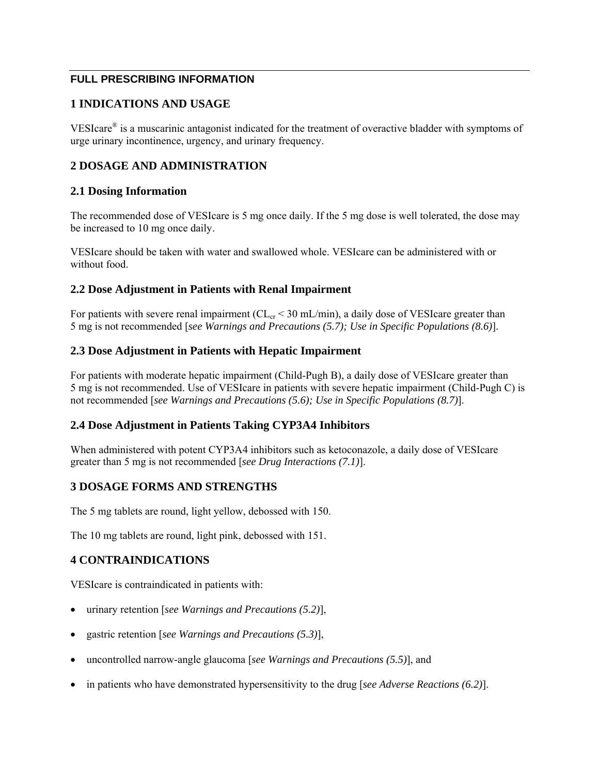## **FULL PRESCRIBING INFORMATION**

## **1 INDICATIONS AND USAGE**

VESIcare® is a muscarinic antagonist indicated for the treatment of overactive bladder with symptoms of urge urinary incontinence, urgency, and urinary frequency.

### **2 DOSAGE AND ADMINISTRATION**

#### **2.1 Dosing Information**

The recommended dose of VESIcare is 5 mg once daily. If the 5 mg dose is well tolerated, the dose may be increased to 10 mg once daily.

VESIcare should be taken with water and swallowed whole. VESIcare can be administered with or without food.

#### **2.2 Dose Adjustment in Patients with Renal Impairment**

For patients with severe renal impairment ( $CL<sub>cr</sub> < 30$  mL/min), a daily dose of VESIcare greater than 5 mg is not recommended [*see Warnings and Precautions (5.7); Use in Specific Populations (8.6)*].

#### **2.3 Dose Adjustment in Patients with Hepatic Impairment**

For patients with moderate hepatic impairment (Child-Pugh B), a daily dose of VESIcare greater than 5 mg is not recommended. Use of VESIcare in patients with severe hepatic impairment (Child-Pugh C) is not recommended [*see Warnings and Precautions (5.6); Use in Specific Populations (8.7)*].

## **2.4 Dose Adjustment in Patients Taking CYP3A4 Inhibitors**

When administered with potent CYP3A4 inhibitors such as ketoconazole, a daily dose of VESIcare greater than 5 mg is not recommended [*see Drug Interactions (7.1)*].

## **3 DOSAGE FORMS AND STRENGTHS**

The 5 mg tablets are round, light yellow, debossed with 150.

The 10 mg tablets are round, light pink, debossed with 151.

## **4 CONTRAINDICATIONS**

VESIcare is contraindicated in patients with:

- urinary retention [*see Warnings and Precautions (5.2)*],
- gastric retention [*see Warnings and Precautions (5.3)*],
- uncontrolled narrow-angle glaucoma [*see Warnings and Precautions (5.5)*], and
- in patients who have demonstrated hypersensitivity to the drug [*see Adverse Reactions (6.2)*].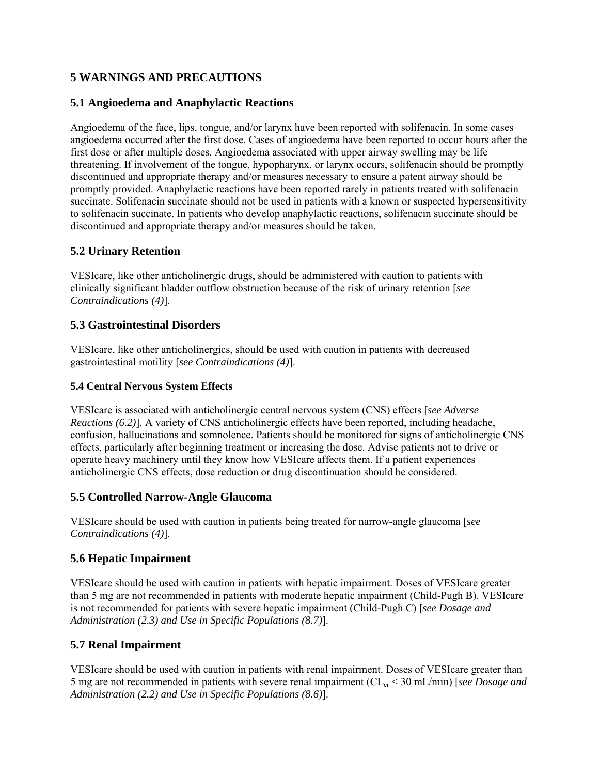# **5 WARNINGS AND PRECAUTIONS**

## **5.1 Angioedema and Anaphylactic Reactions**

Angioedema of the face, lips, tongue, and/or larynx have been reported with solifenacin. In some cases angioedema occurred after the first dose. Cases of angioedema have been reported to occur hours after the first dose or after multiple doses. Angioedema associated with upper airway swelling may be life threatening. If involvement of the tongue, hypopharynx, or larynx occurs, solifenacin should be promptly discontinued and appropriate therapy and/or measures necessary to ensure a patent airway should be promptly provided. Anaphylactic reactions have been reported rarely in patients treated with solifenacin succinate. Solifenacin succinate should not be used in patients with a known or suspected hypersensitivity to solifenacin succinate. In patients who develop anaphylactic reactions, solifenacin succinate should be discontinued and appropriate therapy and/or measures should be taken.

## **5.2 Urinary Retention**

VESIcare, like other anticholinergic drugs, should be administered with caution to patients with clinically significant bladder outflow obstruction because of the risk of urinary retention [*see Contraindications (4)*].

## **5.3 Gastrointestinal Disorders**

VESIcare, like other anticholinergics, should be used with caution in patients with decreased gastrointestinal motility [*see Contraindications (4)*].

### **5.4 Central Nervous System Effects**

VESIcare is associated with anticholinergic central nervous system (CNS) effects [*see Adverse Reactions (6.2)*]*.* A variety of CNS anticholinergic effects have been reported, including headache, confusion, hallucinations and somnolence. Patients should be monitored for signs of anticholinergic CNS effects, particularly after beginning treatment or increasing the dose. Advise patients not to drive or operate heavy machinery until they know how VESIcare affects them. If a patient experiences anticholinergic CNS effects, dose reduction or drug discontinuation should be considered.

## **5.5 Controlled Narrow-Angle Glaucoma**

VESIcare should be used with caution in patients being treated for narrow-angle glaucoma [*see Contraindications (4)*].

## **5.6 Hepatic Impairment**

VESIcare should be used with caution in patients with hepatic impairment. Doses of VESIcare greater than 5 mg are not recommended in patients with moderate hepatic impairment (Child-Pugh B). VESIcare is not recommended for patients with severe hepatic impairment (Child-Pugh C) [*see Dosage and Administration (2.3) and Use in Specific Populations (8.7)*].

# **5.7 Renal Impairment**

VESIcare should be used with caution in patients with renal impairment. Doses of VESIcare greater than 5 mg are not recommended in patients with severe renal impairment (CLcr < 30 mL/min) [*see Dosage and Administration (2.2) and Use in Specific Populations (8.6)*].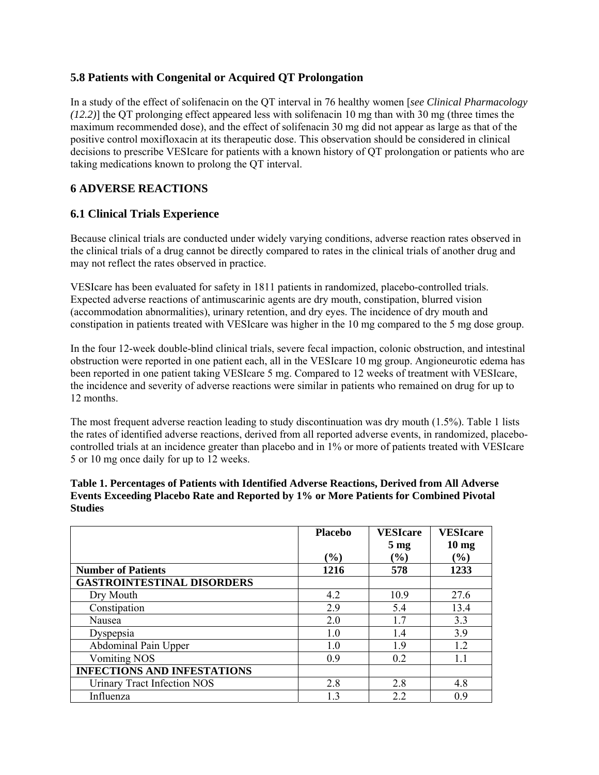## **5.8 Patients with Congenital or Acquired QT Prolongation**

In a study of the effect of solifenacin on the QT interval in 76 healthy women [*see Clinical Pharmacology (12.2)*] the QT prolonging effect appeared less with solifenacin 10 mg than with 30 mg (three times the maximum recommended dose), and the effect of solifenacin 30 mg did not appear as large as that of the positive control moxifloxacin at its therapeutic dose. This observation should be considered in clinical decisions to prescribe VESIcare for patients with a known history of QT prolongation or patients who are taking medications known to prolong the QT interval.

# **6 ADVERSE REACTIONS**

## **6.1 Clinical Trials Experience**

Because clinical trials are conducted under widely varying conditions, adverse reaction rates observed in the clinical trials of a drug cannot be directly compared to rates in the clinical trials of another drug and may not reflect the rates observed in practice.

VESIcare has been evaluated for safety in 1811 patients in randomized, placebo-controlled trials. Expected adverse reactions of antimuscarinic agents are dry mouth, constipation, blurred vision (accommodation abnormalities), urinary retention, and dry eyes. The incidence of dry mouth and constipation in patients treated with VESIcare was higher in the 10 mg compared to the 5 mg dose group.

In the four 12-week double-blind clinical trials, severe fecal impaction, colonic obstruction, and intestinal obstruction were reported in one patient each, all in the VESIcare 10 mg group. Angioneurotic edema has been reported in one patient taking VESIcare 5 mg. Compared to 12 weeks of treatment with VESIcare, the incidence and severity of adverse reactions were similar in patients who remained on drug for up to 12 months.

The most frequent adverse reaction leading to study discontinuation was dry mouth (1.5%). Table 1 lists the rates of identified adverse reactions, derived from all reported adverse events, in randomized, placebocontrolled trials at an incidence greater than placebo and in 1% or more of patients treated with VESIcare 5 or 10 mg once daily for up to 12 weeks.

#### **Table 1. Percentages of Patients with Identified Adverse Reactions, Derived from All Adverse Events Exceeding Placebo Rate and Reported by 1% or More Patients for Combined Pivotal Studies**

|                                    | <b>Placebo</b> | <b>VESIcare</b><br>5 <sub>mg</sub> | <b>VESIcare</b><br>$10 \text{ mg}$ |
|------------------------------------|----------------|------------------------------------|------------------------------------|
|                                    | (%)            | $\left( \frac{6}{6} \right)$       | $(\%)$                             |
| <b>Number of Patients</b>          | 1216           | 578                                | 1233                               |
| <b>GASTROINTESTINAL DISORDERS</b>  |                |                                    |                                    |
| Dry Mouth                          | 4.2            | 10.9                               | 27.6                               |
| Constipation                       | 29             | 5.4                                | 13.4                               |
| Nausea                             | 2.0            | 17                                 | 3.3                                |
| Dyspepsia                          | 1.0            | 1.4                                | 3.9                                |
| Abdominal Pain Upper               | 1.0            | 1.9                                | 1.2                                |
| <b>Vomiting NOS</b>                | 09             | 0.2                                | 11                                 |
| <b>INFECTIONS AND INFESTATIONS</b> |                |                                    |                                    |
| <b>Urinary Tract Infection NOS</b> | 2.8            | 2.8                                | 4.8                                |
| Influenza                          | 13             | 2.2                                | 09                                 |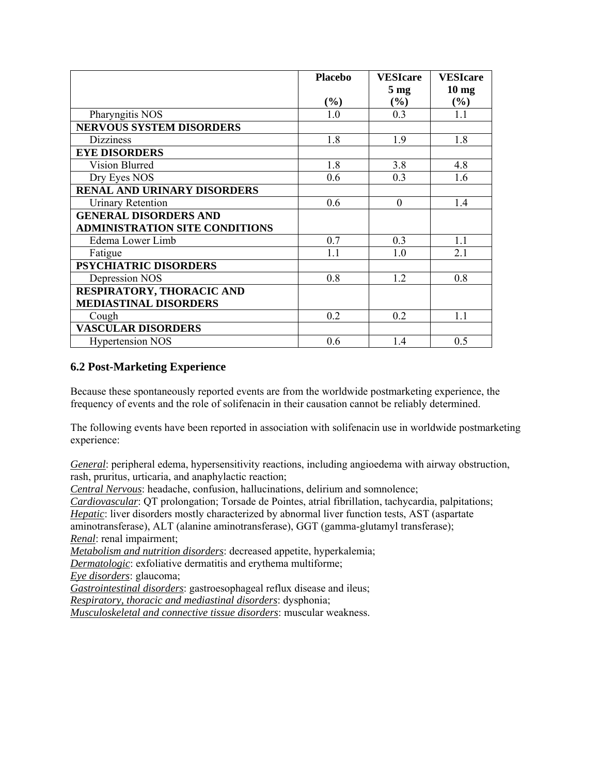|                                       | <b>Placebo</b> | <b>VESIcare</b> | <b>VESIcare</b>  |
|---------------------------------------|----------------|-----------------|------------------|
|                                       |                | 5 <sub>mg</sub> | 10 <sub>mg</sub> |
|                                       | $(\%)$         | (%)             | $(\%)$           |
| Pharyngitis NOS                       | 1.0            | 0.3             | 1.1              |
| <b>NERVOUS SYSTEM DISORDERS</b>       |                |                 |                  |
| <b>Dizziness</b>                      | 1.8            | 1.9             | 1.8              |
| <b>EYE DISORDERS</b>                  |                |                 |                  |
| Vision Blurred                        | 1.8            | 3.8             | 4.8              |
| Dry Eyes NOS                          | 0.6            | 0.3             | 1.6              |
| <b>RENAL AND URINARY DISORDERS</b>    |                |                 |                  |
| <b>Urinary Retention</b>              | 0.6            | $\theta$        | 1.4              |
| <b>GENERAL DISORDERS AND</b>          |                |                 |                  |
| <b>ADMINISTRATION SITE CONDITIONS</b> |                |                 |                  |
| Edema Lower Limb                      | 0.7            | 0.3             | 1.1              |
| Fatigue                               | 1.1            | 1.0             | 2.1              |
| <b>PSYCHIATRIC DISORDERS</b>          |                |                 |                  |
| Depression NOS                        | 0.8            | 1.2             | 0.8              |
| RESPIRATORY, THORACIC AND             |                |                 |                  |
| <b>MEDIASTINAL DISORDERS</b>          |                |                 |                  |
| Cough                                 | 0.2            | 0.2             | 1.1              |
| <b>VASCULAR DISORDERS</b>             |                |                 |                  |
| <b>Hypertension NOS</b>               | 0.6            | 1.4             | 0.5              |

## **6.2 Post-Marketing Experience**

Because these spontaneously reported events are from the worldwide postmarketing experience, the frequency of events and the role of solifenacin in their causation cannot be reliably determined.

The following events have been reported in association with solifenacin use in worldwide postmarketing experience:

*General*: peripheral edema, hypersensitivity reactions, including angioedema with airway obstruction, rash, pruritus, urticaria, and anaphylactic reaction;

*Central Nervous*: headache, confusion, hallucinations, delirium and somnolence;

*Cardiovascular*: QT prolongation; Torsade de Pointes, atrial fibrillation, tachycardia, palpitations; *Hepatic*: liver disorders mostly characterized by abnormal liver function tests, AST (aspartate aminotransferase), ALT (alanine aminotransferase), GGT (gamma-glutamyl transferase); *Renal*: renal impairment;

*Metabolism and nutrition disorders*: decreased appetite, hyperkalemia;

*Dermatologic*: exfoliative dermatitis and erythema multiforme;

*Eye disorders*: glaucoma;

*Gastrointestinal disorders*: gastroesophageal reflux disease and ileus;

*Respiratory, thoracic and mediastinal disorders*: dysphonia;

*Musculoskeletal and connective tissue disorders*: muscular weakness.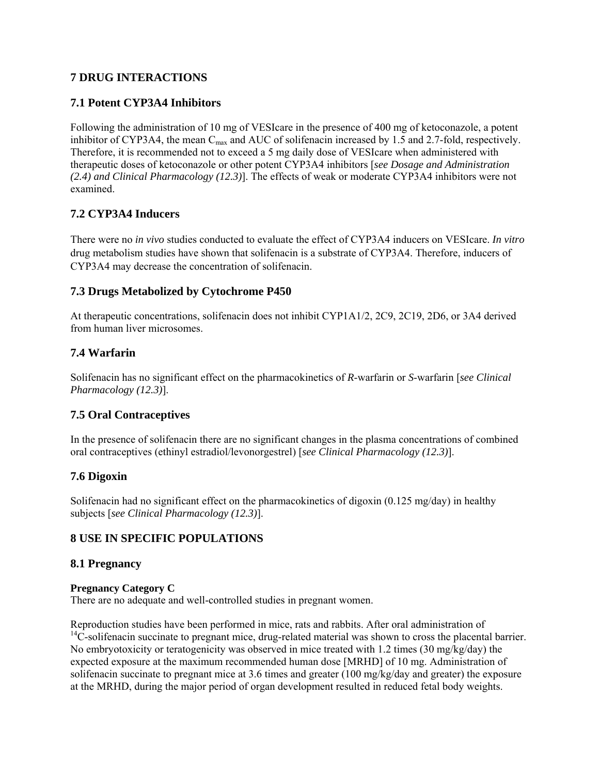# **7 DRUG INTERACTIONS**

# **7.1 Potent CYP3A4 Inhibitors**

Following the administration of 10 mg of VESIcare in the presence of 400 mg of ketoconazole, a potent inhibitor of CYP3A4, the mean  $C_{\text{max}}$  and AUC of solifenacin increased by 1.5 and 2.7-fold, respectively. Therefore, it is recommended not to exceed a 5 mg daily dose of VESIcare when administered with therapeutic doses of ketoconazole or other potent CYP3A4 inhibitors [*see Dosage and Administration (2.4) and Clinical Pharmacology (12.3)*]. The effects of weak or moderate CYP3A4 inhibitors were not examined.

# **7.2 CYP3A4 Inducers**

There were no *in vivo* studies conducted to evaluate the effect of CYP3A4 inducers on VESIcare. *In vitro*  drug metabolism studies have shown that solifenacin is a substrate of CYP3A4. Therefore, inducers of CYP3A4 may decrease the concentration of solifenacin.

## **7.3 Drugs Metabolized by Cytochrome P450**

At therapeutic concentrations, solifenacin does not inhibit CYP1A1/2, 2C9, 2C19, 2D6, or 3A4 derived from human liver microsomes.

## **7.4 Warfarin**

Solifenacin has no significant effect on the pharmacokinetics of *R*-warfarin or *S*-warfarin [*see Clinical Pharmacology (12.3)*].

# **7.5 Oral Contraceptives**

In the presence of solifenacin there are no significant changes in the plasma concentrations of combined oral contraceptives (ethinyl estradiol/levonorgestrel) [*see Clinical Pharmacology (12.3)*].

# **7.6 Digoxin**

Solifenacin had no significant effect on the pharmacokinetics of digoxin (0.125 mg/day) in healthy subjects [*see Clinical Pharmacology (12.3)*].

# **8 USE IN SPECIFIC POPULATIONS**

## **8.1 Pregnancy**

#### **Pregnancy Category C**

There are no adequate and well-controlled studies in pregnant women.

Reproduction studies have been performed in mice, rats and rabbits. After oral administration of  $14C$ -solifenacin succinate to pregnant mice, drug-related material was shown to cross the placental barrier. No embryotoxicity or teratogenicity was observed in mice treated with 1.2 times (30 mg/kg/day) the expected exposure at the maximum recommended human dose [MRHD] of 10 mg. Administration of solifenacin succinate to pregnant mice at 3.6 times and greater (100 mg/kg/day and greater) the exposure at the MRHD, during the major period of organ development resulted in reduced fetal body weights.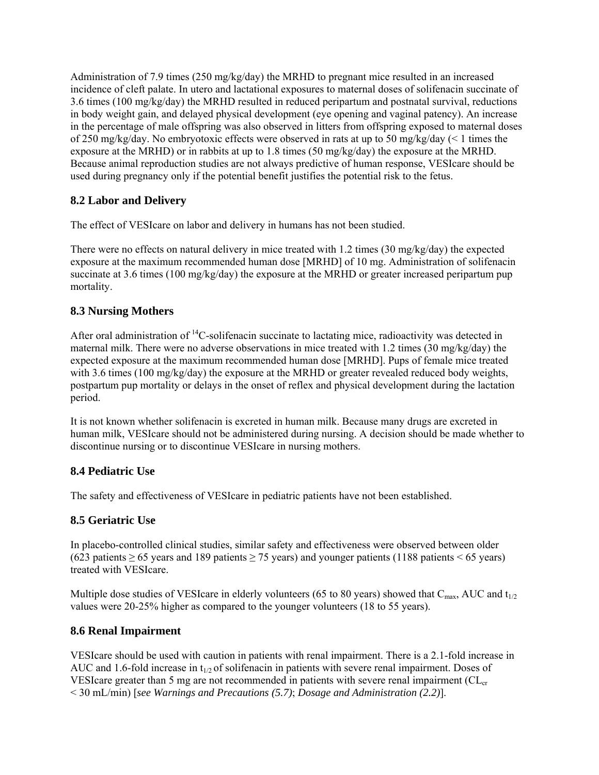Administration of 7.9 times (250 mg/kg/day) the MRHD to pregnant mice resulted in an increased incidence of cleft palate. In utero and lactational exposures to maternal doses of solifenacin succinate of 3.6 times (100 mg/kg/day) the MRHD resulted in reduced peripartum and postnatal survival, reductions in body weight gain, and delayed physical development (eye opening and vaginal patency). An increase in the percentage of male offspring was also observed in litters from offspring exposed to maternal doses of 250 mg/kg/day. No embryotoxic effects were observed in rats at up to 50 mg/kg/day ( $\leq 1$  times the exposure at the MRHD) or in rabbits at up to 1.8 times (50 mg/kg/day) the exposure at the MRHD. Because animal reproduction studies are not always predictive of human response, VESIcare should be used during pregnancy only if the potential benefit justifies the potential risk to the fetus.

# **8.2 Labor and Delivery**

The effect of VESIcare on labor and delivery in humans has not been studied.

There were no effects on natural delivery in mice treated with 1.2 times (30 mg/kg/day) the expected exposure at the maximum recommended human dose [MRHD] of 10 mg. Administration of solifenacin succinate at 3.6 times (100 mg/kg/day) the exposure at the MRHD or greater increased peripartum pup mortality.

# **8.3 Nursing Mothers**

After oral administration of  ${}^{14}C$ -solifenacin succinate to lactating mice, radioactivity was detected in maternal milk. There were no adverse observations in mice treated with 1.2 times (30 mg/kg/day) the expected exposure at the maximum recommended human dose [MRHD]. Pups of female mice treated with 3.6 times (100 mg/kg/day) the exposure at the MRHD or greater revealed reduced body weights, postpartum pup mortality or delays in the onset of reflex and physical development during the lactation period.

It is not known whether solifenacin is excreted in human milk. Because many drugs are excreted in human milk, VESIcare should not be administered during nursing. A decision should be made whether to discontinue nursing or to discontinue VESIcare in nursing mothers.

# **8.4 Pediatric Use**

The safety and effectiveness of VESIcare in pediatric patients have not been established.

# **8.5 Geriatric Use**

In placebo-controlled clinical studies, similar safety and effectiveness were observed between older (623 patients  $> 65$  years and 189 patients  $> 75$  years) and younger patients (1188 patients  $< 65$  years) treated with VESIcare.

Multiple dose studies of VESIcare in elderly volunteers (65 to 80 years) showed that  $C_{\text{max}}$ , AUC and  $t_{1/2}$ values were 20-25% higher as compared to the younger volunteers (18 to 55 years).

# **8.6 Renal Impairment**

VESIcare should be used with caution in patients with renal impairment. There is a 2.1-fold increase in AUC and 1.6-fold increase in  $t_{1/2}$  of solifenacin in patients with severe renal impairment. Doses of VESIcare greater than 5 mg are not recommended in patients with severe renal impairment ( $CL<sub>cr</sub>$ < 30 mL/min) [*see Warnings and Precautions (5.7)*; *Dosage and Administration (2.2)*].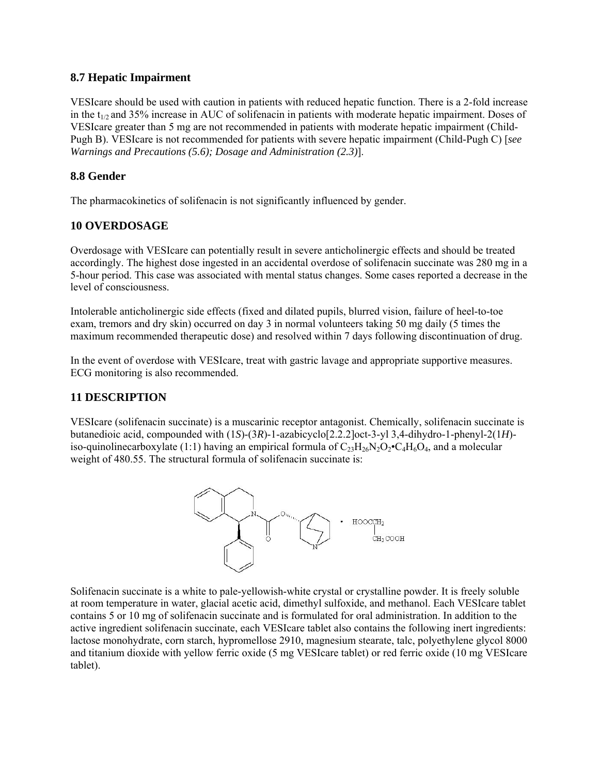## **8.7 Hepatic Impairment**

VESIcare should be used with caution in patients with reduced hepatic function. There is a 2-fold increase in the t<sub>1/2</sub> and 35% increase in AUC of solifenacin in patients with moderate hepatic impairment. Doses of VESIcare greater than 5 mg are not recommended in patients with moderate hepatic impairment (Child-Pugh B). VESIcare is not recommended for patients with severe hepatic impairment (Child-Pugh C) [*see Warnings and Precautions (5.6); Dosage and Administration (2.3)*].

## **8.8 Gender**

The pharmacokinetics of solifenacin is not significantly influenced by gender.

# **10 OVERDOSAGE**

Overdosage with VESIcare can potentially result in severe anticholinergic effects and should be treated accordingly. The highest dose ingested in an accidental overdose of solifenacin succinate was 280 mg in a 5-hour period. This case was associated with mental status changes. Some cases reported a decrease in the level of consciousness.

Intolerable anticholinergic side effects (fixed and dilated pupils, blurred vision, failure of heel-to-toe exam, tremors and dry skin) occurred on day 3 in normal volunteers taking 50 mg daily (5 times the maximum recommended therapeutic dose) and resolved within 7 days following discontinuation of drug.

In the event of overdose with VESIcare, treat with gastric lavage and appropriate supportive measures. ECG monitoring is also recommended.

# **11 DESCRIPTION**

VESIcare (solifenacin succinate) is a muscarinic receptor antagonist. Chemically, solifenacin succinate is butanedioic acid, compounded with (1*S*)-(3*R*)-1-azabicyclo[2.2.2]oct-3-yl 3,4-dihydro-1-phenyl-2(1*H*) iso-quinolinecarboxylate (1:1) having an empirical formula of  $C_{23}H_{26}N_2O_2 \cdot C_4H_6O_4$ , and a molecular weight of 480.55. The structural formula of solifenacin succinate is:



Solifenacin succinate is a white to pale-yellowish-white crystal or crystalline powder. It is freely soluble at room temperature in water, glacial acetic acid, dimethyl sulfoxide, and methanol. Each VESIcare tablet contains 5 or 10 mg of solifenacin succinate and is formulated for oral administration. In addition to the active ingredient solifenacin succinate, each VESIcare tablet also contains the following inert ingredients: lactose monohydrate, corn starch, hypromellose 2910, magnesium stearate, talc, polyethylene glycol 8000 and titanium dioxide with yellow ferric oxide (5 mg VESIcare tablet) or red ferric oxide (10 mg VESIcare tablet).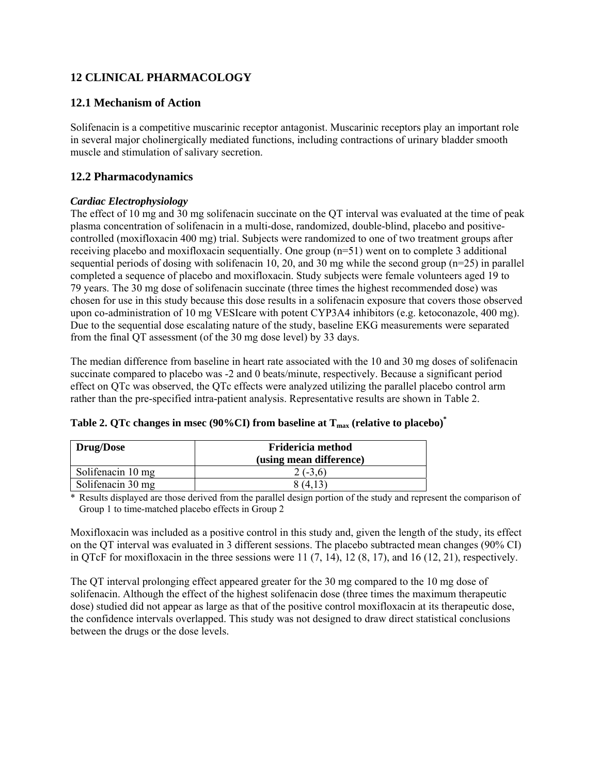# **12 CLINICAL PHARMACOLOGY**

## **12.1 Mechanism of Action**

Solifenacin is a competitive muscarinic receptor antagonist. Muscarinic receptors play an important role in several major cholinergically mediated functions, including contractions of urinary bladder smooth muscle and stimulation of salivary secretion.

## **12.2 Pharmacodynamics**

## *Cardiac Electrophysiology*

The effect of 10 mg and 30 mg solifenacin succinate on the QT interval was evaluated at the time of peak plasma concentration of solifenacin in a multi-dose, randomized, double-blind, placebo and positivecontrolled (moxifloxacin 400 mg) trial. Subjects were randomized to one of two treatment groups after receiving placebo and moxifloxacin sequentially. One group  $(n=51)$  went on to complete 3 additional sequential periods of dosing with solifenacin 10, 20, and 30 mg while the second group (n=25) in parallel completed a sequence of placebo and moxifloxacin. Study subjects were female volunteers aged 19 to 79 years. The 30 mg dose of solifenacin succinate (three times the highest recommended dose) was chosen for use in this study because this dose results in a solifenacin exposure that covers those observed upon co-administration of 10 mg VESIcare with potent CYP3A4 inhibitors (e.g. ketoconazole, 400 mg). Due to the sequential dose escalating nature of the study, baseline EKG measurements were separated from the final QT assessment (of the 30 mg dose level) by 33 days.

The median difference from baseline in heart rate associated with the 10 and 30 mg doses of solifenacin succinate compared to placebo was -2 and 0 beats/minute, respectively. Because a significant period effect on QTc was observed, the QTc effects were analyzed utilizing the parallel placebo control arm rather than the pre-specified intra-patient analysis. Representative results are shown in Table 2.

| <b>Drug/Dose</b>  | Fridericia method<br>(using mean difference) |
|-------------------|----------------------------------------------|
| Solifenacin 10 mg | $2(-3.6)$                                    |
| Solifenacin 30 mg | 8 (4.13)                                     |

|  | Table 2. QTc changes in msec (90%CI) from baseline at $T_{\text{max}}$ (relative to placebo) <sup>*</sup> |  |  |  |  |  |  |
|--|-----------------------------------------------------------------------------------------------------------|--|--|--|--|--|--|
|--|-----------------------------------------------------------------------------------------------------------|--|--|--|--|--|--|

\* Results displayed are those derived from the parallel design portion of the study and represent the comparison of Group 1 to time-matched placebo effects in Group 2

Moxifloxacin was included as a positive control in this study and, given the length of the study, its effect on the QT interval was evaluated in 3 different sessions. The placebo subtracted mean changes (90% CI) in OTcF for moxifloxacin in the three sessions were  $11 (7, 14)$ ,  $12 (8, 17)$ , and  $16 (12, 21)$ , respectively.

The QT interval prolonging effect appeared greater for the 30 mg compared to the 10 mg dose of solifenacin. Although the effect of the highest solifenacin dose (three times the maximum therapeutic dose) studied did not appear as large as that of the positive control moxifloxacin at its therapeutic dose, the confidence intervals overlapped. This study was not designed to draw direct statistical conclusions between the drugs or the dose levels.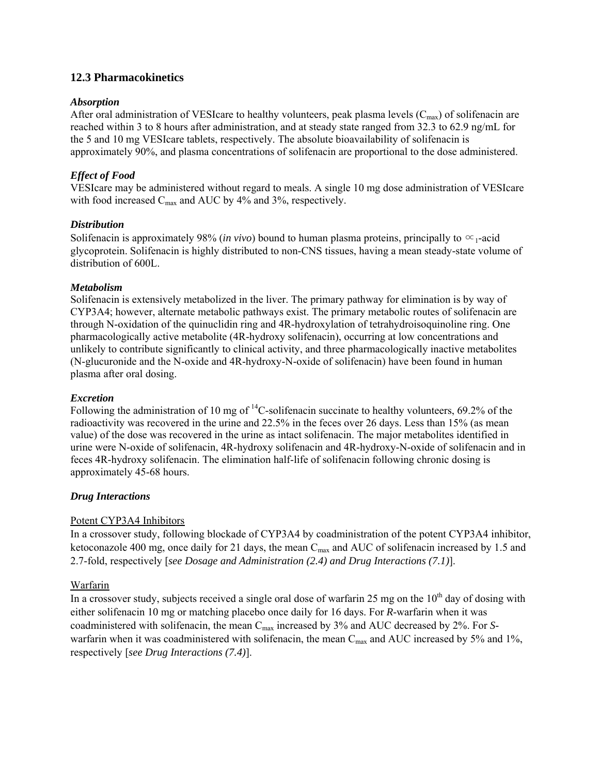## **12.3 Pharmacokinetics**

#### *Absorption*

After oral administration of VESIcare to healthy volunteers, peak plasma levels  $(C_{\text{max}})$  of solifenacin are reached within 3 to 8 hours after administration, and at steady state ranged from 32.3 to 62.9 ng/mL for the 5 and 10 mg VESIcare tablets, respectively. The absolute bioavailability of solifenacin is approximately 90%, and plasma concentrations of solifenacin are proportional to the dose administered.

## *Effect of Food*

VESIcare may be administered without regard to meals. A single 10 mg dose administration of VESIcare with food increased  $C_{\text{max}}$  and AUC by 4% and 3%, respectively.

#### *Distribution*

Solifenacin is approximately 98% (*in vivo*) bound to human plasma proteins, principally to  $\infty_1$ -acid glycoprotein. Solifenacin is highly distributed to non-CNS tissues, having a mean steady-state volume of distribution of 600L.

#### *Metabolism*

Solifenacin is extensively metabolized in the liver. The primary pathway for elimination is by way of CYP3A4; however, alternate metabolic pathways exist. The primary metabolic routes of solifenacin are through N-oxidation of the quinuclidin ring and 4R-hydroxylation of tetrahydroisoquinoline ring. One pharmacologically active metabolite (4R-hydroxy solifenacin), occurring at low concentrations and unlikely to contribute significantly to clinical activity, and three pharmacologically inactive metabolites (N-glucuronide and the N-oxide and 4R-hydroxy-N-oxide of solifenacin) have been found in human plasma after oral dosing.

#### *Excretion*

Following the administration of 10 mg of  $^{14}$ C-solifenacin succinate to healthy volunteers, 69.2% of the radioactivity was recovered in the urine and 22.5% in the feces over 26 days. Less than 15% (as mean value) of the dose was recovered in the urine as intact solifenacin. The major metabolites identified in urine were N-oxide of solifenacin, 4R-hydroxy solifenacin and 4R-hydroxy-N-oxide of solifenacin and in feces 4R-hydroxy solifenacin. The elimination half-life of solifenacin following chronic dosing is approximately 45-68 hours.

#### *Drug Interactions*

## Potent CYP3A4 Inhibitors

In a crossover study, following blockade of CYP3A4 by coadministration of the potent CYP3A4 inhibitor, ketoconazole 400 mg, once daily for 21 days, the mean C<sub>max</sub> and AUC of solifenacin increased by 1.5 and 2.7-fold, respectively [*see Dosage and Administration (2.4) and Drug Interactions (7.1)*].

## Warfarin

In a crossover study, subjects received a single oral dose of warfarin 25 mg on the  $10<sup>th</sup>$  day of dosing with either solifenacin 10 mg or matching placebo once daily for 16 days. For *R*-warfarin when it was coadministered with solifenacin, the mean C<sub>max</sub> increased by 3% and AUC decreased by 2%. For *S*warfarin when it was coadministered with solifenacin, the mean  $C_{\text{max}}$  and AUC increased by 5% and 1%, respectively [*see Drug Interactions (7.4)*].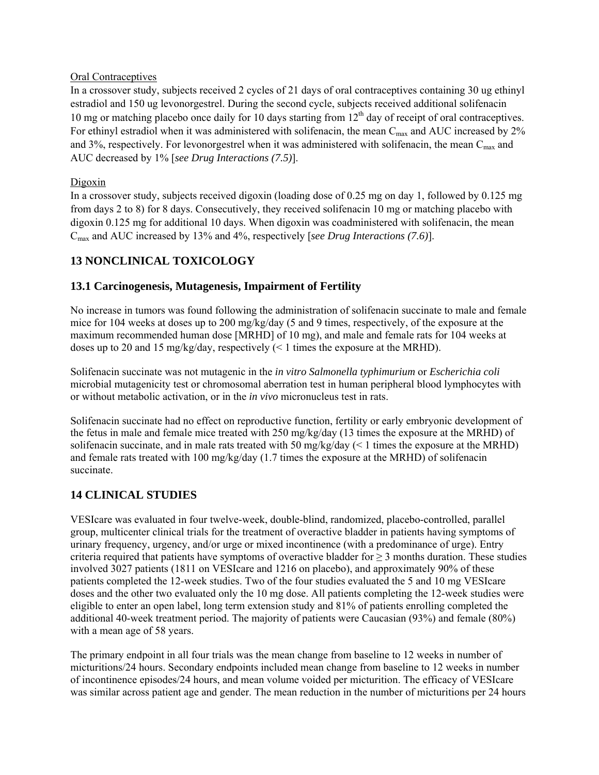#### Oral Contraceptives

In a crossover study, subjects received 2 cycles of 21 days of oral contraceptives containing 30 ug ethinyl estradiol and 150 ug levonorgestrel. During the second cycle, subjects received additional solifenacin 10 mg or matching placebo once daily for 10 days starting from 12<sup>th</sup> day of receipt of oral contraceptives. For ethinyl estradiol when it was administered with solifenacin, the mean C<sub>max</sub> and AUC increased by 2% and 3%, respectively. For levonorgestrel when it was administered with solifenacin, the mean  $C_{\text{max}}$  and AUC decreased by 1% [*see Drug Interactions (7.5)*].

### Digoxin

In a crossover study, subjects received digoxin (loading dose of 0.25 mg on day 1, followed by 0.125 mg from days 2 to 8) for 8 days. Consecutively, they received solifenacin 10 mg or matching placebo with digoxin 0.125 mg for additional 10 days. When digoxin was coadministered with solifenacin, the mean Cmax and AUC increased by 13% and 4%, respectively [*see Drug Interactions (7.6)*].

# **13 NONCLINICAL TOXICOLOGY**

## **13.1 Carcinogenesis, Mutagenesis, Impairment of Fertility**

No increase in tumors was found following the administration of solifenacin succinate to male and female mice for 104 weeks at doses up to 200 mg/kg/day (5 and 9 times, respectively, of the exposure at the maximum recommended human dose [MRHD] of 10 mg), and male and female rats for 104 weeks at doses up to 20 and 15 mg/kg/day, respectively  $($  < 1 times the exposure at the MRHD).

Solifenacin succinate was not mutagenic in the *in vitro Salmonella typhimurium* or *Escherichia coli*  microbial mutagenicity test or chromosomal aberration test in human peripheral blood lymphocytes with or without metabolic activation, or in the *in vivo* micronucleus test in rats.

Solifenacin succinate had no effect on reproductive function, fertility or early embryonic development of the fetus in male and female mice treated with 250 mg/kg/day (13 times the exposure at the MRHD) of solifenacin succinate, and in male rats treated with 50 mg/kg/day  $($  1 times the exposure at the MRHD) and female rats treated with 100 mg/kg/day (1.7 times the exposure at the MRHD) of solifenacin succinate.

# **14 CLINICAL STUDIES**

VESIcare was evaluated in four twelve-week, double-blind, randomized, placebo-controlled, parallel group, multicenter clinical trials for the treatment of overactive bladder in patients having symptoms of urinary frequency, urgency, and/or urge or mixed incontinence (with a predominance of urge). Entry criteria required that patients have symptoms of overactive bladder for  $\geq$  3 months duration. These studies involved 3027 patients (1811 on VESIcare and 1216 on placebo), and approximately 90% of these patients completed the 12-week studies. Two of the four studies evaluated the 5 and 10 mg VESIcare doses and the other two evaluated only the 10 mg dose. All patients completing the 12-week studies were eligible to enter an open label, long term extension study and 81% of patients enrolling completed the additional 40-week treatment period. The majority of patients were Caucasian (93%) and female (80%) with a mean age of 58 years.

The primary endpoint in all four trials was the mean change from baseline to 12 weeks in number of micturitions/24 hours. Secondary endpoints included mean change from baseline to 12 weeks in number of incontinence episodes/24 hours, and mean volume voided per micturition. The efficacy of VESIcare was similar across patient age and gender. The mean reduction in the number of micturitions per 24 hours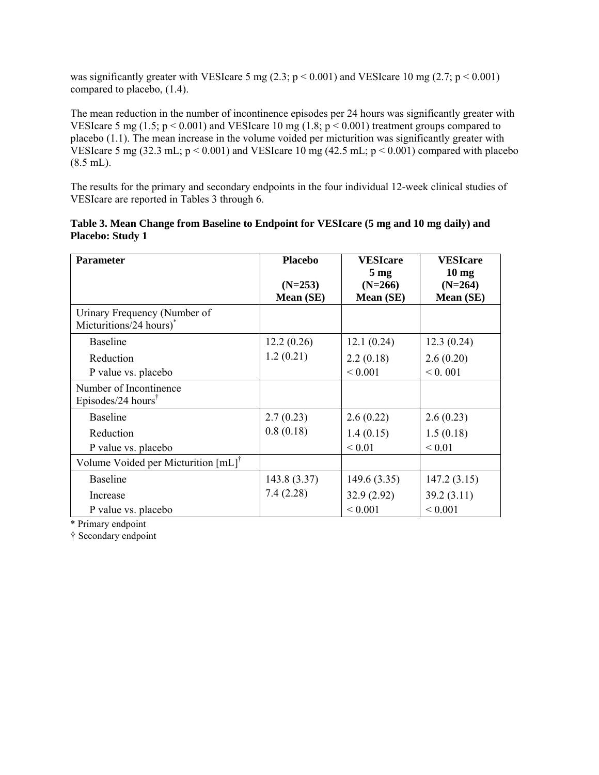was significantly greater with VESIcare 5 mg (2.3;  $p < 0.001$ ) and VESIcare 10 mg (2.7;  $p < 0.001$ ) compared to placebo, (1.4).

The mean reduction in the number of incontinence episodes per 24 hours was significantly greater with VESIcare 5 mg (1.5;  $p < 0.001$ ) and VESIcare 10 mg (1.8;  $p < 0.001$ ) treatment groups compared to placebo (1.1). The mean increase in the volume voided per micturition was significantly greater with VESIcare 5 mg (32.3 mL;  $p < 0.001$ ) and VESIcare 10 mg (42.5 mL;  $p < 0.001$ ) compared with placebo  $(8.5$  mL).

The results for the primary and secondary endpoints in the four individual 12-week clinical studies of VESIcare are reported in Tables 3 through 6.

| <b>Parameter</b>                               | <b>Placebo</b> | <b>VESIcare</b> | <b>VESIcare</b> |
|------------------------------------------------|----------------|-----------------|-----------------|
|                                                |                | 5 <sub>mg</sub> | $10 \text{ mg}$ |
|                                                | $(N=253)$      | $(N=266)$       | $(N=264)$       |
|                                                | Mean (SE)      | Mean (SE)       | Mean (SE)       |
| Urinary Frequency (Number of                   |                |                 |                 |
| Micturitions/24 hours) <sup>*</sup>            |                |                 |                 |
| <b>Baseline</b>                                | 12.2(0.26)     | 12.1(0.24)      | 12.3(0.24)      |
| Reduction                                      | 1.2(0.21)      | 2.2(0.18)       | 2.6(0.20)       |
| P value vs. placebo                            |                | ${}_{0.001}$    | 0.001           |
| Number of Incontinence                         |                |                 |                 |
| Episodes/24 hours <sup>†</sup>                 |                |                 |                 |
| <b>Baseline</b>                                | 2.7(0.23)      | 2.6(0.22)       | 2.6(0.23)       |
| Reduction                                      | 0.8(0.18)      | 1.4(0.15)       | 1.5(0.18)       |
| P value vs. placebo                            |                | ${}_{0.01}$     | ${}_{0.01}$     |
| Volume Voided per Micturition $[mL]^{\dagger}$ |                |                 |                 |
| <b>Baseline</b>                                | 143.8(3.37)    | 149.6(3.35)     | 147.2(3.15)     |
| Increase                                       | 7.4(2.28)      | 32.9 (2.92)     | 39.2(3.11)      |
| P value vs. placebo                            |                | ${}< 0.001$     | ${}< 0.001$     |

| Table 3. Mean Change from Baseline to Endpoint for VESIcare (5 mg and 10 mg daily) and |  |  |  |  |
|----------------------------------------------------------------------------------------|--|--|--|--|
| <b>Placebo: Study 1</b>                                                                |  |  |  |  |

\* Primary endpoint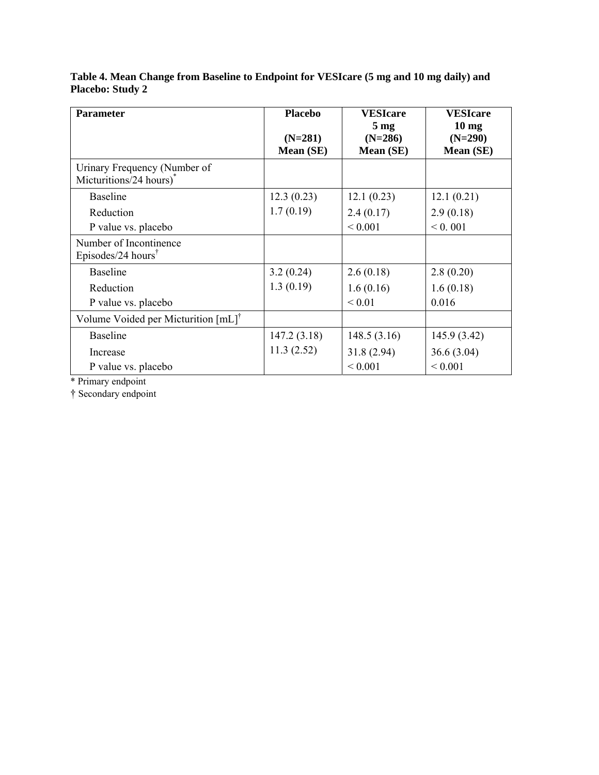| <b>Parameter</b>                                                    | <b>Placebo</b> | <b>VESIcare</b> | <b>VESIcare</b> |
|---------------------------------------------------------------------|----------------|-----------------|-----------------|
|                                                                     |                | 5 <sub>mg</sub> | $10 \text{ mg}$ |
|                                                                     | $(N=281)$      | $(N=286)$       | $(N=290)$       |
|                                                                     | Mean (SE)      | Mean (SE)       | Mean (SE)       |
| Urinary Frequency (Number of<br>Micturitions/24 hours) <sup>*</sup> |                |                 |                 |
| <b>Baseline</b>                                                     | 12.3(0.23)     | 12.1(0.23)      | 12.1(0.21)      |
| Reduction                                                           | 1.7(0.19)      | 2.4(0.17)       | 2.9(0.18)       |
| P value vs. placebo                                                 |                | ${}< 0.001$     | < 0.001         |
| Number of Incontinence<br>Episodes/24 hours <sup>†</sup>            |                |                 |                 |
| <b>Baseline</b>                                                     | 3.2(0.24)      | 2.6(0.18)       | 2.8(0.20)       |
| Reduction                                                           | 1.3(0.19)      | 1.6(0.16)       | 1.6(0.18)       |
| P value vs. placebo                                                 |                | ${}_{0.01}$     | 0.016           |
| Volume Voided per Micturition $[mL]^{\dagger}$                      |                |                 |                 |
| <b>Baseline</b>                                                     | 147.2(3.18)    | 148.5(3.16)     | 145.9(3.42)     |
| Increase                                                            | 11.3(2.52)     | 31.8(2.94)      | 36.6(3.04)      |
| P value vs. placebo                                                 |                | ${}_{0.001}$    | ${}< 0.001$     |

**Table 4. Mean Change from Baseline to Endpoint for VESIcare (5 mg and 10 mg daily) and Placebo: Study 2** 

\* Primary endpoint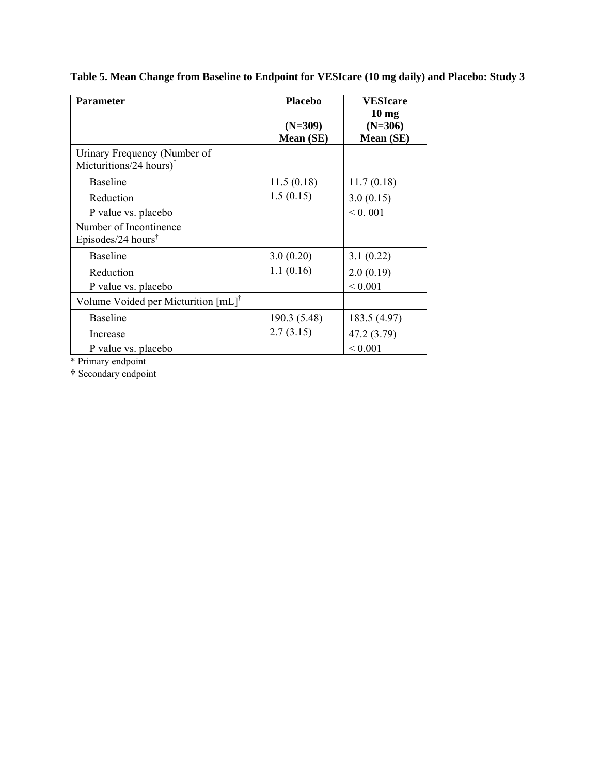| <b>Parameter</b>                                                    | <b>Placebo</b><br>$(N=309)$<br>Mean (SE) | <b>VESIcare</b><br>$10 \text{ mg}$<br>$(N=306)$<br>Mean (SE) |
|---------------------------------------------------------------------|------------------------------------------|--------------------------------------------------------------|
| Urinary Frequency (Number of<br>Micturitions/24 hours) <sup>*</sup> |                                          |                                                              |
| <b>Baseline</b>                                                     | 11.5(0.18)                               | 11.7(0.18)                                                   |
| Reduction                                                           | 1.5(0.15)                                | 3.0(0.15)                                                    |
| P value vs. placebo                                                 |                                          | < 0.001                                                      |
| Number of Incontinence<br>Episodes/24 hours <sup>†</sup>            |                                          |                                                              |
| <b>Baseline</b>                                                     | 3.0(0.20)                                | 3.1(0.22)                                                    |
| Reduction                                                           | 1.1(0.16)                                | 2.0(0.19)                                                    |
| P value vs. placebo                                                 |                                          | ${}_{0.001}$                                                 |
| Volume Voided per Micturition [mL] <sup>†</sup>                     |                                          |                                                              |
| <b>Baseline</b>                                                     | 190.3 (5.48)                             | 183.5 (4.97)                                                 |
| Increase                                                            | 2.7(3.15)                                | 47.2 (3.79)                                                  |
| P value vs. placebo                                                 |                                          | ${}< 0.001$                                                  |

**Table 5. Mean Change from Baseline to Endpoint for VESIcare (10 mg daily) and Placebo: Study 3** 

\* Primary endpoint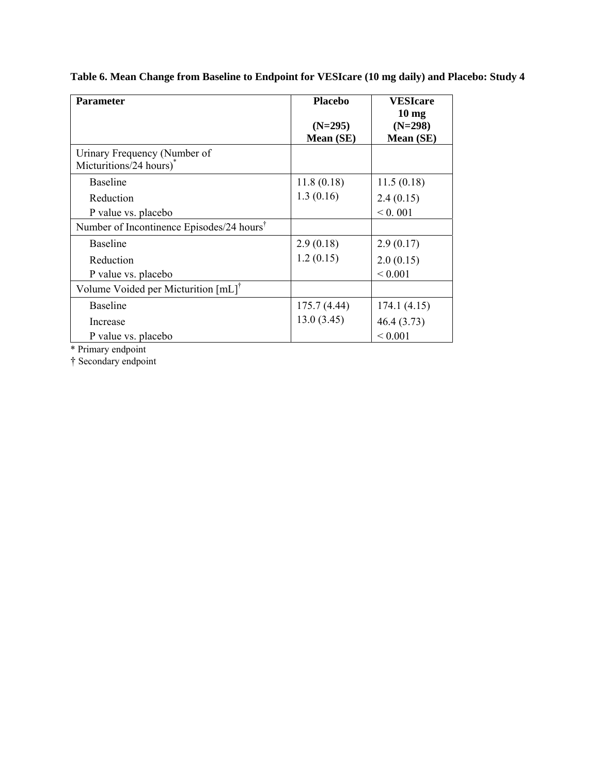| <b>Parameter</b>                                                    | <b>Placebo</b><br>$(N=295)$ | <b>VESIcare</b><br>10 <sub>mg</sub><br>$(N=298)$ |
|---------------------------------------------------------------------|-----------------------------|--------------------------------------------------|
|                                                                     | Mean (SE)                   | <b>Mean</b> (SE)                                 |
| Urinary Frequency (Number of<br>Micturitions/24 hours) <sup>*</sup> |                             |                                                  |
| <b>Baseline</b>                                                     | 11.8(0.18)                  | 11.5(0.18)                                       |
| Reduction                                                           | 1.3(0.16)                   | 2.4(0.15)                                        |
| P value vs. placebo                                                 |                             | 0.001                                            |
| Number of Incontinence Episodes/24 hours <sup>†</sup>               |                             |                                                  |
| <b>Baseline</b>                                                     | 2.9(0.18)                   | 2.9(0.17)                                        |
| Reduction                                                           | 1.2(0.15)                   | 2.0(0.15)                                        |
| P value vs. placebo                                                 |                             | ${}_{0.001}$                                     |
| Volume Voided per Micturition [mL] <sup>†</sup>                     |                             |                                                  |
| <b>Baseline</b>                                                     | 175.7 (4.44)                | 174.1(4.15)                                      |
| Increase                                                            | 13.0(3.45)                  | 46.4(3.73)                                       |
| P value vs. placebo                                                 |                             | ${}_{0.001}$                                     |

**Table 6. Mean Change from Baseline to Endpoint for VESIcare (10 mg daily) and Placebo: Study 4** 

\* Primary endpoint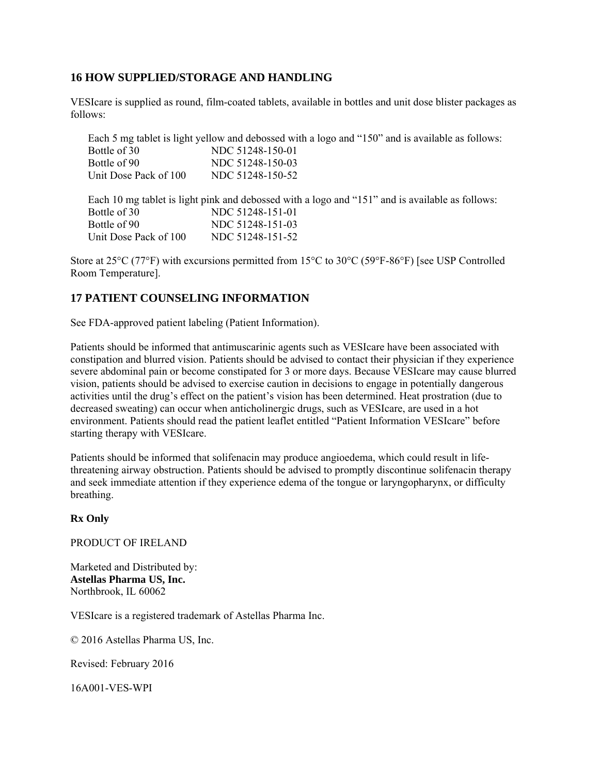## **16 HOW SUPPLIED/STORAGE AND HANDLING**

VESIcare is supplied as round, film-coated tablets, available in bottles and unit dose blister packages as follows:

|                       | Each 5 mg tablet is light yellow and debossed with a logo and "150" and is available as follows: |
|-----------------------|--------------------------------------------------------------------------------------------------|
| Bottle of 30          | NDC 51248-150-01                                                                                 |
| Bottle of 90          | NDC 51248-150-03                                                                                 |
| Unit Dose Pack of 100 | NDC 51248-150-52                                                                                 |
|                       | Each 10 mg tablet is light pink and debossed with a logo and "151" and is available as follows:  |
| Bottle of 30          | NDC 51248-151-01                                                                                 |
| Bottle of 90          | NDC 51248-151-03                                                                                 |
| Unit Dose Pack of 100 | NDC 51248-151-52                                                                                 |

Store at 25°C (77°F) with excursions permitted from 15°C to 30°C (59°F-86°F) [see USP Controlled Room Temperature].

# **17 PATIENT COUNSELING INFORMATION**

See FDA-approved patient labeling (Patient Information).

Patients should be informed that antimuscarinic agents such as VESIcare have been associated with constipation and blurred vision. Patients should be advised to contact their physician if they experience severe abdominal pain or become constipated for 3 or more days. Because VESIcare may cause blurred vision, patients should be advised to exercise caution in decisions to engage in potentially dangerous activities until the drug's effect on the patient's vision has been determined. Heat prostration (due to decreased sweating) can occur when anticholinergic drugs, such as VESIcare, are used in a hot environment. Patients should read the patient leaflet entitled "Patient Information VESIcare" before starting therapy with VESIcare.

Patients should be informed that solifenacin may produce angioedema, which could result in lifethreatening airway obstruction. Patients should be advised to promptly discontinue solifenacin therapy and seek immediate attention if they experience edema of the tongue or laryngopharynx, or difficulty breathing.

#### **Rx Only**

PRODUCT OF IRELAND

Marketed and Distributed by: **Astellas Pharma US, Inc.**  Northbrook, IL 60062

VESIcare is a registered trademark of Astellas Pharma Inc.

© 2016 Astellas Pharma US, Inc.

Revised: February 2016

16A001-VES-WPI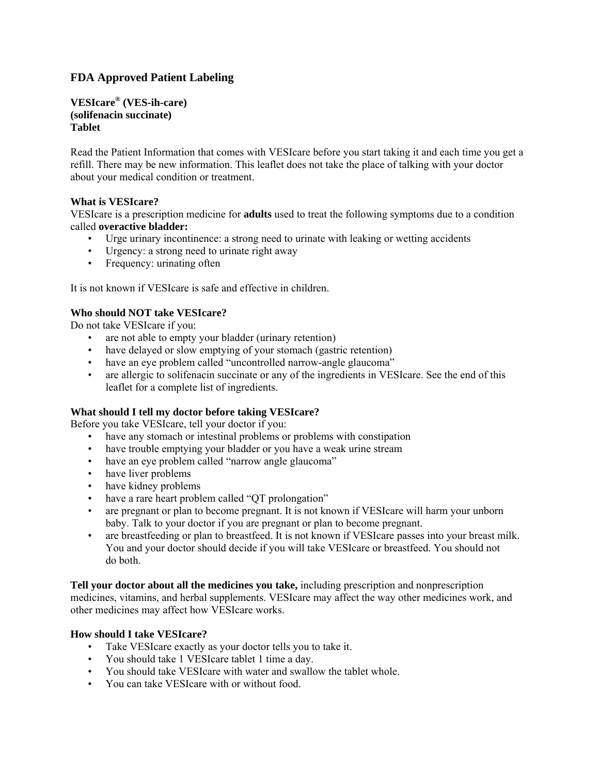# **FDA Approved Patient Labeling**

**VESIcare® (VES-ih-care) (solifenacin succinate) Tablet**

Read the Patient Information that comes with VESIcare before you start taking it and each time you get a refill. There may be new information. This leaflet does not take the place of talking with your doctor about your medical condition or treatment.

#### **What is VESIcare?**

VESIcare is a prescription medicine for **adults** used to treat the following symptoms due to a condition called **overactive bladder:**

- Urge urinary incontinence: a strong need to urinate with leaking or wetting accidents
- Urgency: a strong need to urinate right away
- Frequency: urinating often

It is not known if VESIcare is safe and effective in children.

#### **Who should NOT take VESIcare?**

Do not take VESIcare if you:

- are not able to empty your bladder (urinary retention)
- have delayed or slow emptying of your stomach (gastric retention)
- have an eye problem called "uncontrolled narrow-angle glaucoma"
- are allergic to solifenacin succinate or any of the ingredients in VESIcare. See the end of this leaflet for a complete list of ingredients.

#### **What should I tell my doctor before taking VESIcare?**

Before you take VESIcare, tell your doctor if you:

- have any stomach or intestinal problems or problems with constipation
- have trouble emptying your bladder or you have a weak urine stream
- have an eye problem called "narrow angle glaucoma"
- have liver problems
- have kidney problems
- have a rare heart problem called "QT prolongation"
- are pregnant or plan to become pregnant. It is not known if VESIcare will harm your unborn baby. Talk to your doctor if you are pregnant or plan to become pregnant.
- are breastfeeding or plan to breastfeed. It is not known if VESIcare passes into your breast milk. You and your doctor should decide if you will take VESIcare or breastfeed. You should not do both.

**Tell your doctor about all the medicines you take,** including prescription and nonprescription medicines, vitamins, and herbal supplements. VESIcare may affect the way other medicines work, and other medicines may affect how VESIcare works.

#### **How should I take VESIcare?**

- Take VESIcare exactly as your doctor tells you to take it.
- You should take 1 VESIcare tablet 1 time a day.
- You should take VESIcare with water and swallow the tablet whole.
- You can take VESIcare with or without food.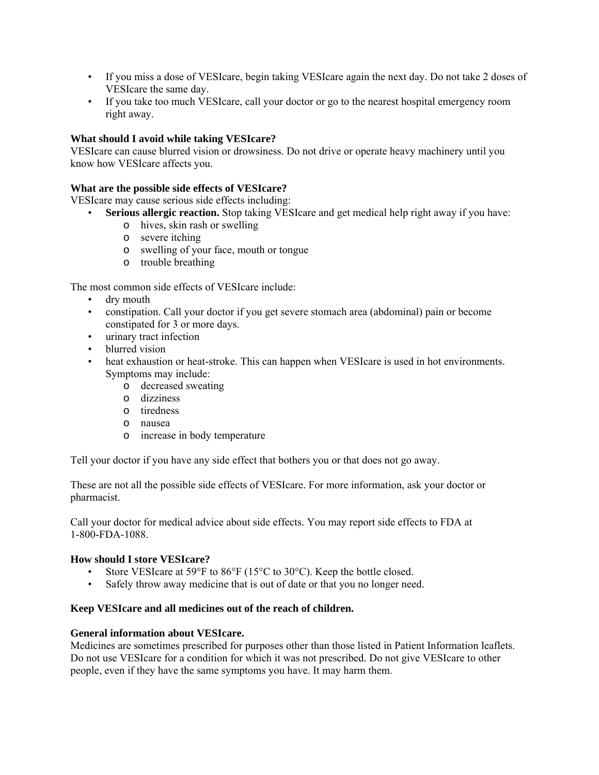- If you miss a dose of VESIcare, begin taking VESIcare again the next day. Do not take 2 doses of VESIcare the same day.
- If you take too much VESIcare, call your doctor or go to the nearest hospital emergency room right away.

#### **What should I avoid while taking VESIcare?**

VESIcare can cause blurred vision or drowsiness. Do not drive or operate heavy machinery until you know how VESIcare affects you.

#### **What are the possible side effects of VESIcare?**

VESIcare may cause serious side effects including:

- **Serious allergic reaction.** Stop taking VESIcare and get medical help right away if you have:
	- o hives, skin rash or swelling
	- o severe itching
	- o swelling of your face, mouth or tongue
	- o trouble breathing

The most common side effects of VESIcare include:

- dry mouth
- constipation. Call your doctor if you get severe stomach area (abdominal) pain or become constipated for 3 or more days.
- urinary tract infection
- blurred vision
- heat exhaustion or heat-stroke. This can happen when VESIcare is used in hot environments. Symptoms may include:
	- o decreased sweating
	- o dizziness
	- o tiredness
	- o nausea
	- o increase in body temperature

Tell your doctor if you have any side effect that bothers you or that does not go away.

These are not all the possible side effects of VESIcare. For more information, ask your doctor or pharmacist.

Call your doctor for medical advice about side effects. You may report side effects to FDA at 1-800-FDA-1088.

#### **How should I store VESIcare?**

- Store VESIcare at 59°F to 86°F (15°C to 30°C). Keep the bottle closed.
- Safely throw away medicine that is out of date or that you no longer need.

#### **Keep VESIcare and all medicines out of the reach of children.**

#### **General information about VESIcare.**

Medicines are sometimes prescribed for purposes other than those listed in Patient Information leaflets. Do not use VESIcare for a condition for which it was not prescribed. Do not give VESIcare to other people, even if they have the same symptoms you have. It may harm them.